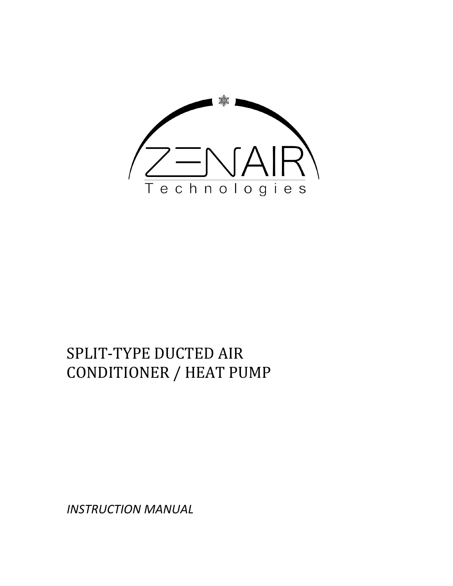

# SPLIT-TYPE DUCTED AIR CONDITIONER / HEAT PUMP

*INSTRUCTION MANUAL*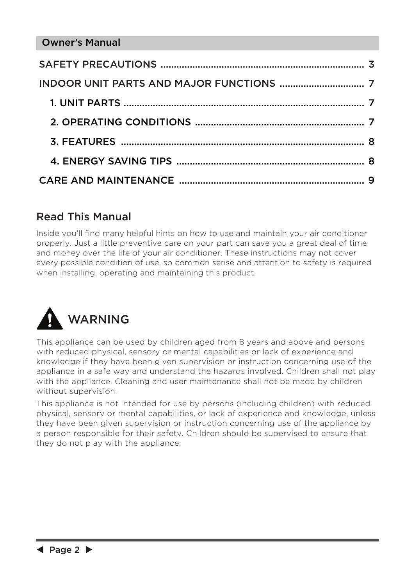### Read This Manual

Inside you'll find many helpful hints on how to use and maintain your air conditioner properly. Just a little preventive care on your part can save you a great deal of time and money over the life of your air conditioner. These instructions may not cover every possible condition of use, so common sense and attention to safety is required when installing, operating and maintaining this product.



This appliance can be used by children aged from 8 years and above and persons with reduced physical, sensory or mental capabilities or lack of experience and knowledge if they have been given supervision or instruction concerning use of the appliance in a safe way and understand the hazards involved. Children shall not play with the appliance. Cleaning and user maintenance shall not be made by children without supervision.

This appliance is not intended for use by persons (including children) with reduced physical, sensory or mental capabilities, or lack of experience and knowledge, unless they have been given supervision or instruction concerning use of the appliance by a person responsible for their safety. Children should be supervised to ensure that they do not play with the appliance.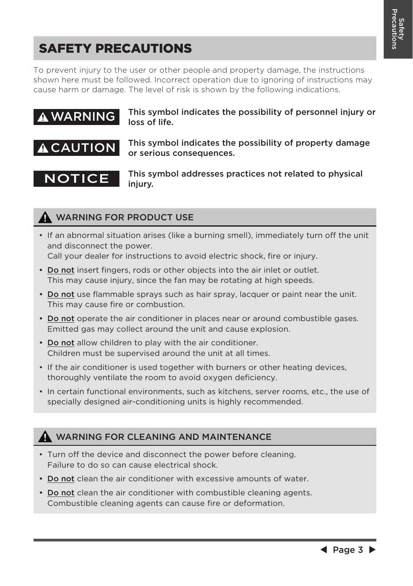## SAFETY PRECAUTIONS

To prevent injury to the user or other people and property damage, the instructions shown here must be followed. Incorrect operation due to ignoring of instructions may cause harm or damage. The level of risk is shown by the following indications.



#### WARNING FOR PRODUCT USE

- If an abnormal situation arises (like a burning smell), immediately turn off the unit and disconnect the power. Call your dealer for instructions to avoid electric shock, fire or injury.
- Do not insert fingers, rods or other objects into the air inlet or outlet. This may cause injury, since the fan may be rotating at high speeds.
- Do not use flammable sprays such as hair spray, lacquer or paint near the unit. This may cause fire or combustion.
- Do not operate the air conditioner in places near or around combustible gases. Emitted gas may collect around the unit and cause explosion.
- Do not allow children to play with the air conditioner. Children must be supervised around the unit at all times.
- If the air conditioner is used together with burners or other heating devices, thoroughly ventilate the room to avoid oxygen deficiency.
- In certain functional environments, such as kitchens, server rooms, etc., the use of specially designed air-conditioning units is highly recommended.

#### **A WARNING FOR CLEANING AND MAINTENANCE**

- Turn off the device and disconnect the power before cleaning. Failure to do so can cause electrical shock.
- Do not clean the air conditioner with excessive amounts of water.
- Do not clean the air conditioner with combustible cleaning agents. Combustible cleaning agents can cause fire or deformation.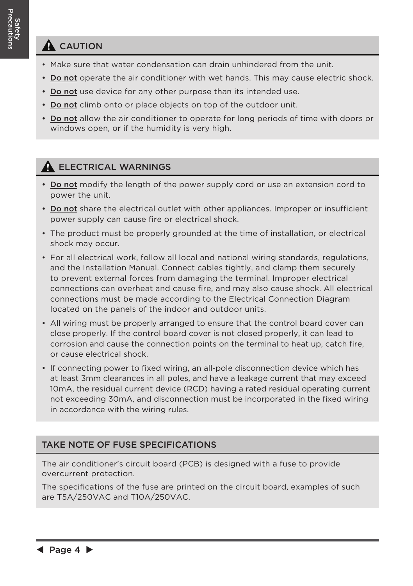#### **A** CAUTION

- Make sure that water condensation can drain unhindered from the unit.
- Do not operate the air conditioner with wet hands. This may cause electric shock.
- Do not use device for any other purpose than its intended use.
- Do not climb onto or place objects on top of the outdoor unit.
- Do not allow the air conditioner to operate for long periods of time with doors or windows open, or if the humidity is very high.

#### **A ELECTRICAL WARNINGS**

- Do not modify the length of the power supply cord or use an extension cord to power the unit.
- Do not share the electrical outlet with other appliances. Improper or insufficient power supply can cause fire or electrical shock.
- The product must be properly grounded at the time of installation, or electrical shock may occur.
- For all electrical work, follow all local and national wiring standards, regulations, and the Installation Manual. Connect cables tightly, and clamp them securely to prevent external forces from damaging the terminal. Improper electrical connections can overheat and cause fire, and may also cause shock. All electrical connections must be made according to the Electrical Connection Diagram located on the panels of the indoor and outdoor units.
- All wiring must be properly arranged to ensure that the control board cover can close properly. If the control board cover is not closed properly, it can lead to corrosion and cause the connection points on the terminal to heat up, catch fire, or cause electrical shock.
- If connecting power to fixed wiring, an all-pole disconnection device which has at least 3mm clearances in all poles, and have a leakage current that may exceed 10mA, the residual current device (RCD) having a rated residual operating current not exceeding 30mA, and disconnection must be incorporated in the fixed wiring in accordance with the wiring rules.

#### TAKE NOTE OF FUSE SPECIFICATIONS

The air conditioner's circuit board (PCB) is designed with a fuse to provide overcurrent protection.

The specifications of the fuse are printed on the circuit board, examples of such are T5A/250VAC and T10A/250VAC.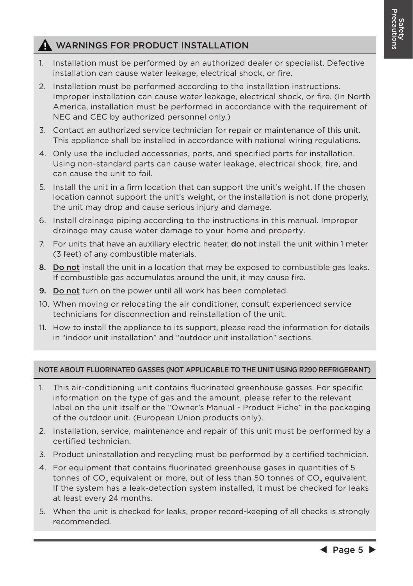#### **A** WARNINGS FOR PRODUCT INSTALLATION

- 1. Installation must be performed by an authorized dealer or specialist. Defective installation can cause water leakage, electrical shock, or fire.
- 2. Installation must be performed according to the installation instructions. Improper installation can cause water leakage, electrical shock, or fire. (In North America, installation must be performed in accordance with the requirement of NEC and CEC by authorized personnel only.)
- 3. Contact an authorized service technician for repair or maintenance of this unit. This appliance shall be installed in accordance with national wiring regulations.
- 4. Only use the included accessories, parts, and specified parts for installation. Using non-standard parts can cause water leakage, electrical shock, fire, and can cause the unit to fail.
- 5. Install the unit in a firm location that can support the unit's weight. If the chosen location cannot support the unit's weight, or the installation is not done properly, the unit may drop and cause serious injury and damage.
- 6. Install drainage piping according to the instructions in this manual. Improper drainage may cause water damage to your home and property.
- 7. For units that have an auxiliary electric heater, **do not** install the unit within 1 meter (3 feet) of any combustible materials.
- 8. Do not install the unit in a location that may be exposed to combustible gas leaks. If combustible gas accumulates around the unit, it may cause fire.
- 9. Do not turn on the power until all work has been completed.
- 10. When moving or relocating the air conditioner, consult experienced service technicians for disconnection and reinstallation of the unit.
- 11. How to install the appliance to its support, please read the information for details in "indoor unit installation" and "outdoor unit installation" sections.

#### NOTE ABOUT FLUORINATED GASSES (NOT APPLICABLE TO THE UNIT USING R290 REFRIGERANT)

- 1. This air-conditioning unit contains fluorinated greenhouse gasses. For specific information on the type of gas and the amount, please refer to the relevant label on the unit itself or the "Owner's Manual - Product Fiche" in the packaging of the outdoor unit. (European Union products only).
- 2. Installation, service, maintenance and repair of this unit must be performed by a certified technician.
- 3. Product uninstallation and recycling must be performed by a certified technician.
- 4. For equipment that contains fluorinated greenhouse gases in quantities of 5 tonnes of CO<sub>2</sub> equivalent or more, but of less than 50 tonnes of CO<sub>2</sub> equivalent, If the system has a leak-detection system installed, it must be checked for leaks at least every 24 months.
- 5. When the unit is checked for leaks, proper record-keeping of all checks is strongly recommended.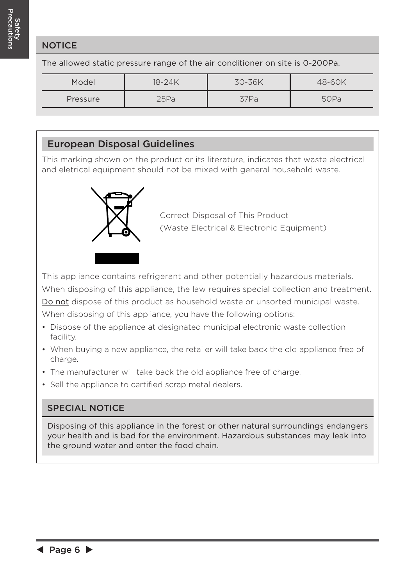#### **NOTICE**

The allowed static pressure range of the air conditioner on site is 0-200Pa.

| Model    | 18-24K | 30-36K | 48-60K |
|----------|--------|--------|--------|
| Pressure | 25Pa   | 37 Pa  | 50Pa   |

#### European Disposal Guidelines

This marking shown on the product or its literature, indicates that waste electrical and eletrical equipment should not be mixed with general household waste.



Correct Disposal of This Product (Waste Electrical & Electronic Equipment)

This appliance contains refrigerant and other potentially hazardous materials. When disposing of this appliance, the law requires special collection and treatment.

Do not dispose of this product as household waste or unsorted municipal waste.

When disposing of this appliance, you have the following options:

- Dispose of the appliance at designated municipal electronic waste collection facility.
- When buying a new appliance, the retailer will take back the old appliance free of charge.
- The manufacturer will take back the old appliance free of charge.
- Sell the appliance to certified scrap metal dealers.

#### SPECIAL NOTICE

Disposing of this appliance in the forest or other natural surroundings endangers your health and is bad for the environment. Hazardous substances may leak into the ground water and enter the food chain.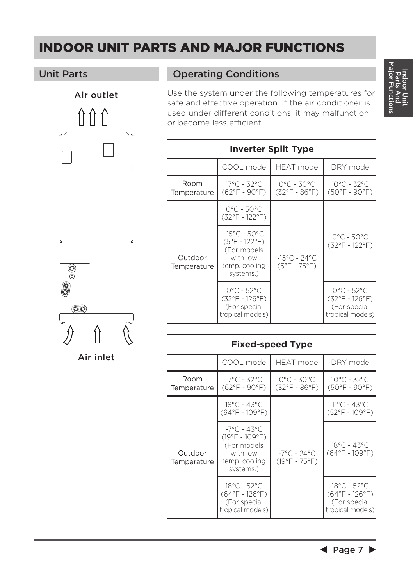### INDOOR UNIT PARTS AND MAJOR FUNCTIONS



Air inlet

#### Unit Parts **Operating Conditions**

Use the system under the following temperatures for safe and effective operation. If the air conditioner is used under different conditions, it may malfunction or become less efficient.

| <b>Inverter Split Type</b> |                                                                                                                  |                                                                   |                                                                                  |  |  |  |
|----------------------------|------------------------------------------------------------------------------------------------------------------|-------------------------------------------------------------------|----------------------------------------------------------------------------------|--|--|--|
|                            | COOL mode                                                                                                        | HFAT mode                                                         | DRY mode                                                                         |  |  |  |
| Room<br>Temperature        | $17^{\circ}$ C - 32°C<br>$(62^{\circ}F - 90^{\circ}F)$                                                           | $0^{\circ}$ C - 30 $^{\circ}$ C<br>(32°F - 86°F)                  | $10^{\circ}$ C - 32 $^{\circ}$ C<br>$(50^{\circ}F - 90^{\circ}F)$                |  |  |  |
| Outdoor<br>Temperature     | $0^{\circ}$ C - 50 $^{\circ}$ C<br>(32°F - 122°F)                                                                | $-15^{\circ}$ C - 24 $^{\circ}$ C<br>$(5^{\circ}F - 75^{\circ}F)$ |                                                                                  |  |  |  |
|                            | $-15^{\circ}$ C - 50°C<br>$(5^{\circ}F - 122^{\circ}F)$<br>(For models<br>with low<br>temp. cooling<br>systems.) |                                                                   | $0^{\circ}$ C - 50 $^{\circ}$ C<br>(32°F - 122°F)                                |  |  |  |
|                            | $0^{\circ}$ C - 52 $^{\circ}$ C<br>(32°F - 126°F)<br>(For special<br>tropical models)                            |                                                                   | $O^{\circ}C - 52^{\circ}C$<br>(32°F - 126°F)<br>(For special<br>tropical models) |  |  |  |

#### **Fixed-speed Type**

|                        | COOL mode                                                                                        | <b>HEAT</b> mode                                            | DRY mode                                                                          |
|------------------------|--------------------------------------------------------------------------------------------------|-------------------------------------------------------------|-----------------------------------------------------------------------------------|
| Room<br>Temperature    | $17^{\circ}$ C - 32°C<br>$(62^{\circ}F - 90^{\circ}F)$                                           | $O^{\circ}C - 3O^{\circ}C$<br>$(32^{\circ}F - 86^{\circ}F)$ | $10^{\circ}$ C - 32 $^{\circ}$ C<br>$(50^{\circ}F - 90^{\circ}F)$                 |
| Outdoor<br>Temperature | $18^{\circ}$ C - 43°C<br>$(64^{\circ}F - 109^{\circ}F)$                                          | $-7^{\circ}$ C - 24°C<br>$(19^{\circ}F - 75^{\circ}F)$      | $11^{\circ}$ C - 43°C<br>$(52^{\circ}F - 109^{\circ}F)$                           |
|                        | $-7^{\circ}$ C - 43°C<br>(19°F - 109°F)<br>(For models<br>with low<br>temp. cooling<br>systems.) |                                                             | 18°C - 43°C<br>$(64^{\circ}F - 109^{\circ}F)$                                     |
|                        | $18^{\circ}$ C - 52 $^{\circ}$ C<br>(64°F - 126°F)<br>(For special<br>tropical models)           |                                                             | 18°C - 52°C<br>$(64^{\circ}F - 126^{\circ}F)$<br>(For special<br>tropical models) |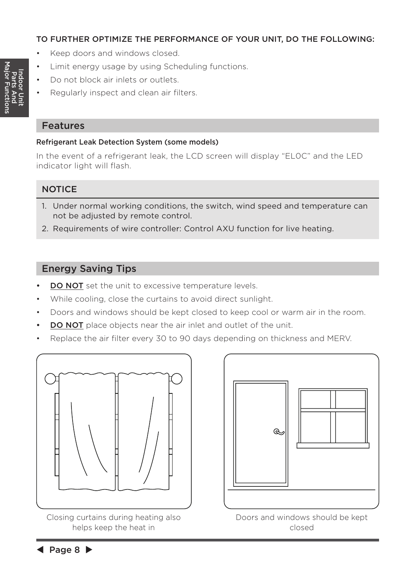#### TO FURTHER OPTIMIZE THE PERFORMANCE OF YOUR UNIT, DO THE FOLLOWING:

- Keep doors and windows closed.
- Limit energy usage by using Scheduling functions.
- Do not block air inlets or outlets.
- Regularly inspect and clean air filters.

#### Features

#### Refrigerant Leak Detection System (some models)

In the event of a refrigerant leak, the LCD screen will display "EL0C" and the LED indicator light will flash.

#### **NOTICE**

- 1. Under normal working conditions, the switch, wind speed and temperature can not be adjusted by remote control.
- 2. Requirements of wire controller: Control AXU function for live heating.

#### Energy Saving Tips

- **DO NOT** set the unit to excessive temperature levels.
- While cooling, close the curtains to avoid direct sunlight.
- Doors and windows should be kept closed to keep cool or warm air in the room.
- **DO NOT** place objects near the air inlet and outlet of the unit.
- Replace the air filter every 30 to 90 days depending on thickness and MERV.



Closing curtains during heating also helps keep the heat in



Doors and windows should be kept closed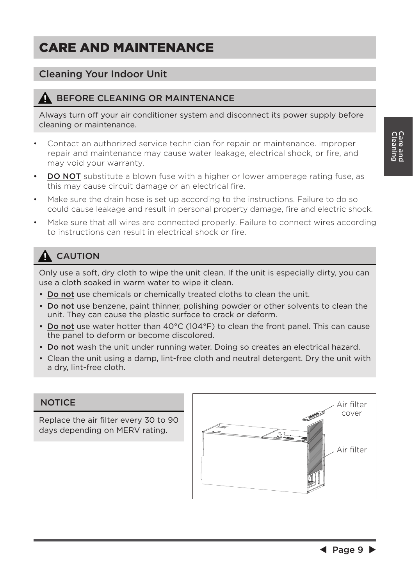### CARE AND MAINTENANCE

#### Cleaning Your Indoor Unit

#### BEFORE CLEANING OR MAINTENANCE

Always turn off your air conditioner system and disconnect its power supply before cleaning or maintenance.

- Contact an authorized service technician for repair or maintenance. Improper repair and maintenance may cause water leakage, electrical shock, or fire, and may void your warranty.
- **DO NOT** substitute a blown fuse with a higher or lower amperage rating fuse, as this may cause circuit damage or an electrical fire.
- Make sure the drain hose is set up according to the instructions. Failure to do so could cause leakage and result in personal property damage, fire and electric shock.
- Make sure that all wires are connected properly. Failure to connect wires according to instructions can result in electrical shock or fire.

### **A** CAUTION

Only use a soft, dry cloth to wipe the unit clean. If the unit is especially dirty, you can use a cloth soaked in warm water to wipe it clean.

- Do not use chemicals or chemically treated cloths to clean the unit.
- Do not use benzene, paint thinner, polishing powder or other solvents to clean the unit. They can cause the plastic surface to crack or deform.
- Do not use water hotter than 40°C (104°F) to clean the front panel. This can cause the panel to deform or become discolored.
- Do not wash the unit under running water. Doing so creates an electrical hazard.
- Clean the unit using a damp, lint-free cloth and neutral detergent. Dry the unit with a dry, lint-free cloth.

#### **NOTICE**

Replace the air filter every 30 to 90 days depending on MERV rating.

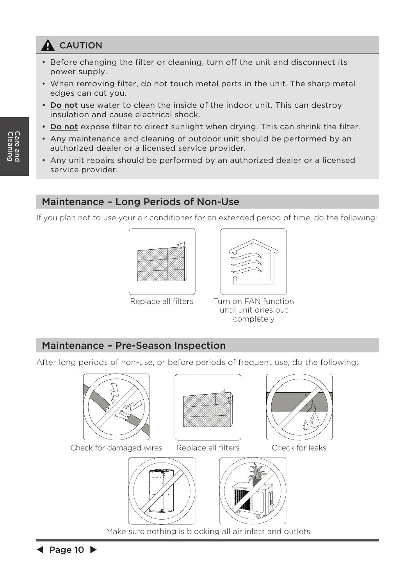### **A** CAUTION

- Before changing the filter or cleaning, turn off the unit and disconnect its power supply.
- When removing filter, do not touch metal parts in the unit. The sharp metal edges can cut you.
- Do not use water to clean the inside of the indoor unit. This can destroy insulation and cause electrical shock.
- Do not expose filter to direct sunlight when drying. This can shrink the filter.
- Any maintenance and cleaning of outdoor unit should be performed by an authorized dealer or a licensed service provider.
- Any unit repairs should be performed by an authorized dealer or a licensed service provider.

#### Maintenance – Long Periods of Non-Use

If you plan not to use your air conditioner for an extended period of time, do the following:





Replace all filters Turn on FAN function until unit dries out completely

#### Maintenance – Pre-Season Inspection

After long periods of non-use, or before periods of frequent use, do the following:



Check for damaged wires Replace all filters Check for leaks